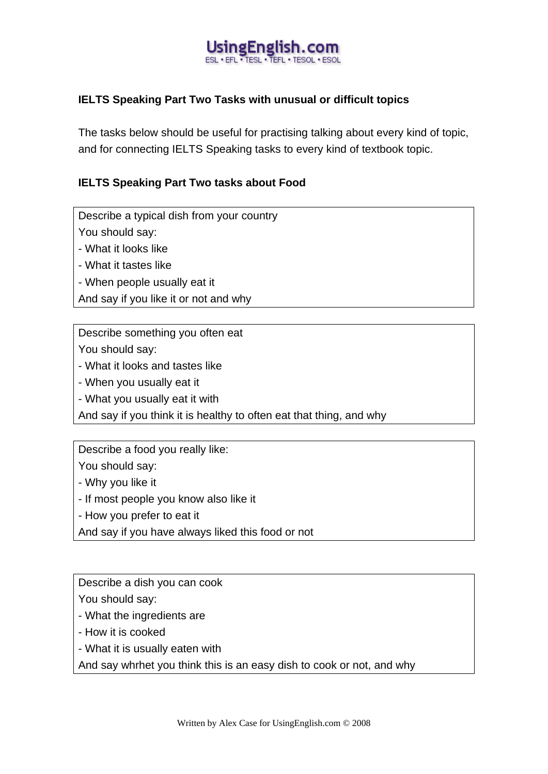#### JsingEnglish.cc FFI . TESL . TEFL . TESOL . P

## **IELTS Speaking Part Two Tasks with unusual or difficult topics**

The tasks below should be useful for practising talking about every kind of topic, and for connecting IELTS Speaking tasks to every kind of textbook topic.

#### **IELTS Speaking Part Two tasks about Food**

Describe a typical dish from your country

You should say:

- What it looks like

- What it tastes like

- When people usually eat it

And say if you like it or not and why

Describe something you often eat

You should say:

- What it looks and tastes like

- When you usually eat it

- What you usually eat it with

And say if you think it is healthy to often eat that thing, and why

Describe a food you really like:

You should say:

- Why you like it

- If most people you know also like it

- How you prefer to eat it

And say if you have always liked this food or not

Describe a dish you can cook

You should say:

- What the ingredients are

- How it is cooked

- What it is usually eaten with

And say whrhet you think this is an easy dish to cook or not, and why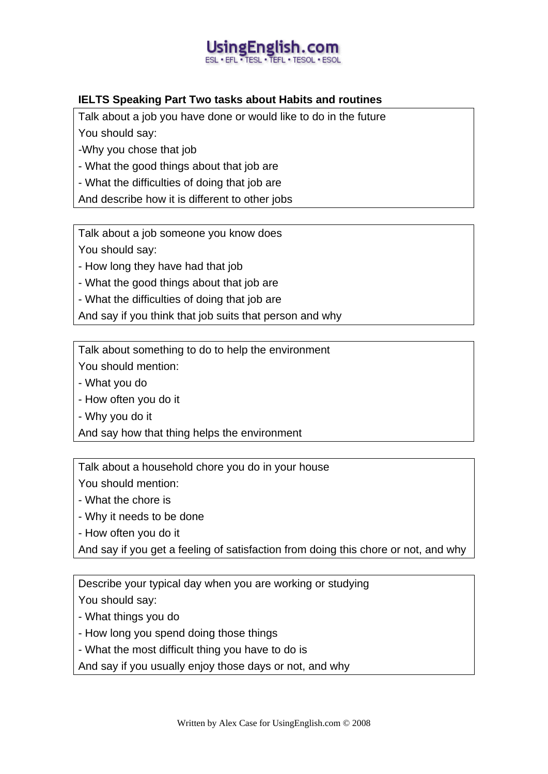# singEnglish

## **IELTS Speaking Part Two tasks about Habits and routines**

Talk about a job you have done or would like to do in the future You should say:

-Why you chose that job

- What the good things about that job are

- What the difficulties of doing that job are

And describe how it is different to other jobs

Talk about a job someone you know does You should say:

- How long they have had that job

- What the good things about that job are

- What the difficulties of doing that job are

And say if you think that job suits that person and why

Talk about something to do to help the environment

You should mention:

- What you do

- How often you do it

- Why you do it

And say how that thing helps the environment

Talk about a household chore you do in your house

You should mention:

- What the chore is

- Why it needs to be done

- How often you do it

And say if you get a feeling of satisfaction from doing this chore or not, and why

Describe your typical day when you are working or studying You should say:

- What things you do

- How long you spend doing those things

- What the most difficult thing you have to do is

And say if you usually enjoy those days or not, and why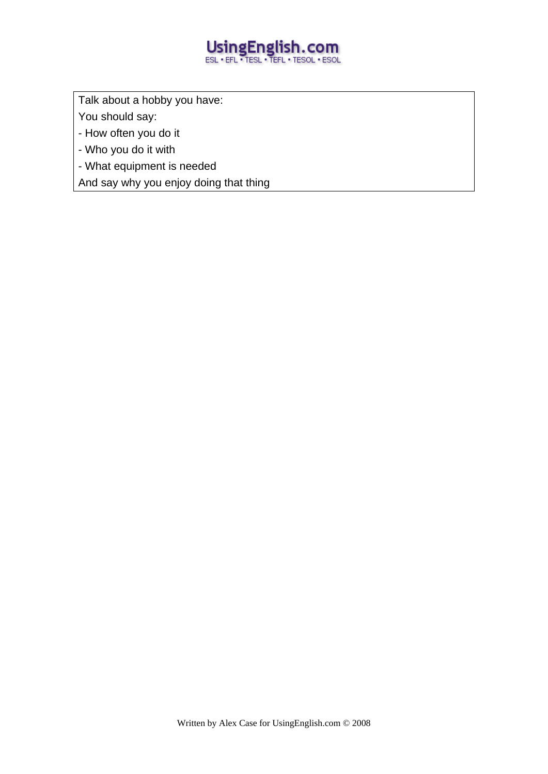# UsingEnglish.com

Talk about a hobby you have:

You should say:

- How often you do it

- Who you do it with

- What equipment is needed

And say why you enjoy doing that thing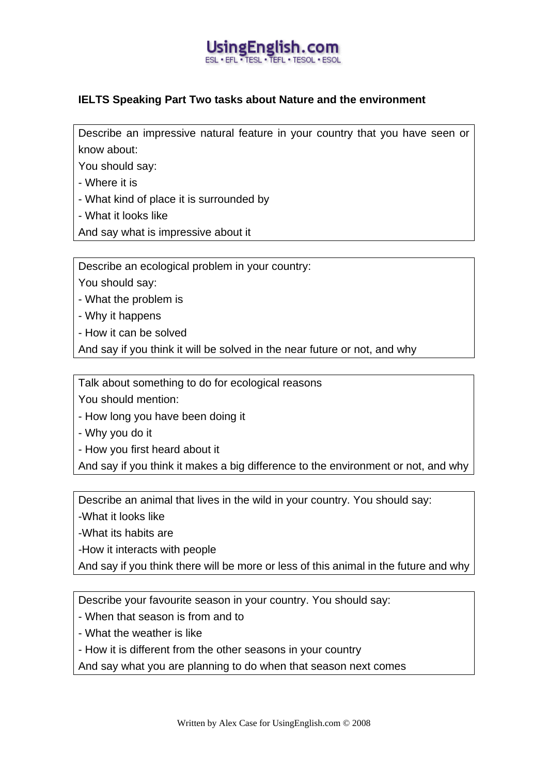

#### **IELTS Speaking Part Two tasks about Nature and the environment**

Describe an impressive natural feature in your country that you have seen or know about:

You should say:

- Where it is

- What kind of place it is surrounded by

- What it looks like

And say what is impressive about it

Describe an ecological problem in your country:

You should say:

- What the problem is

- Why it happens

- How it can be solved

And say if you think it will be solved in the near future or not, and why

Talk about something to do for ecological reasons

You should mention:

- How long you have been doing it

- Why you do it

- How you first heard about it

And say if you think it makes a big difference to the environment or not, and why

Describe an animal that lives in the wild in your country. You should say:

-What it looks like

-What its habits are

-How it interacts with people

And say if you think there will be more or less of this animal in the future and why

Describe your favourite season in your country. You should say:

- When that season is from and to

- What the weather is like

- How it is different from the other seasons in your country

And say what you are planning to do when that season next comes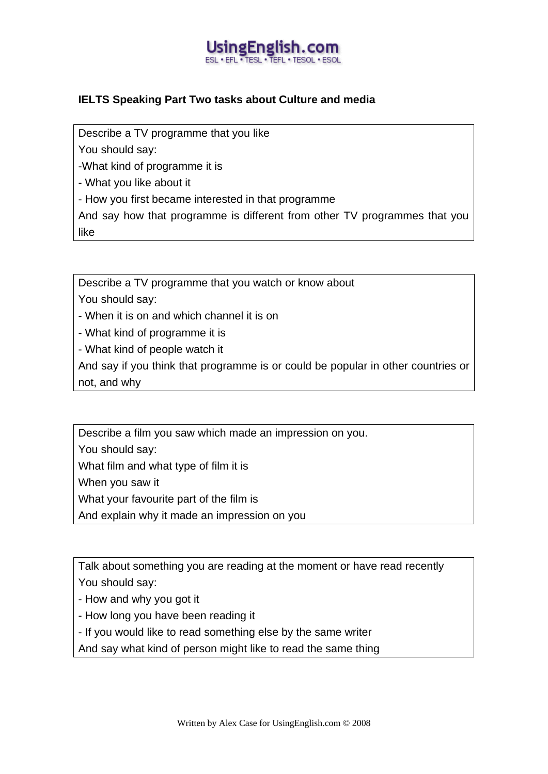

## **IELTS Speaking Part Two tasks about Culture and media**

Describe a TV programme that you like

You should say:

-What kind of programme it is

- What you like about it

- How you first became interested in that programme

And say how that programme is different from other TV programmes that you like

Describe a TV programme that you watch or know about

You should say:

- When it is on and which channel it is on

- What kind of programme it is

- What kind of people watch it

And say if you think that programme is or could be popular in other countries or not, and why

Describe a film you saw which made an impression on you.

You should say:

What film and what type of film it is

When you saw it

What your favourite part of the film is

And explain why it made an impression on you

Talk about something you are reading at the moment or have read recently You should say:

- How and why you got it

- How long you have been reading it
- If you would like to read something else by the same writer
- And say what kind of person might like to read the same thing